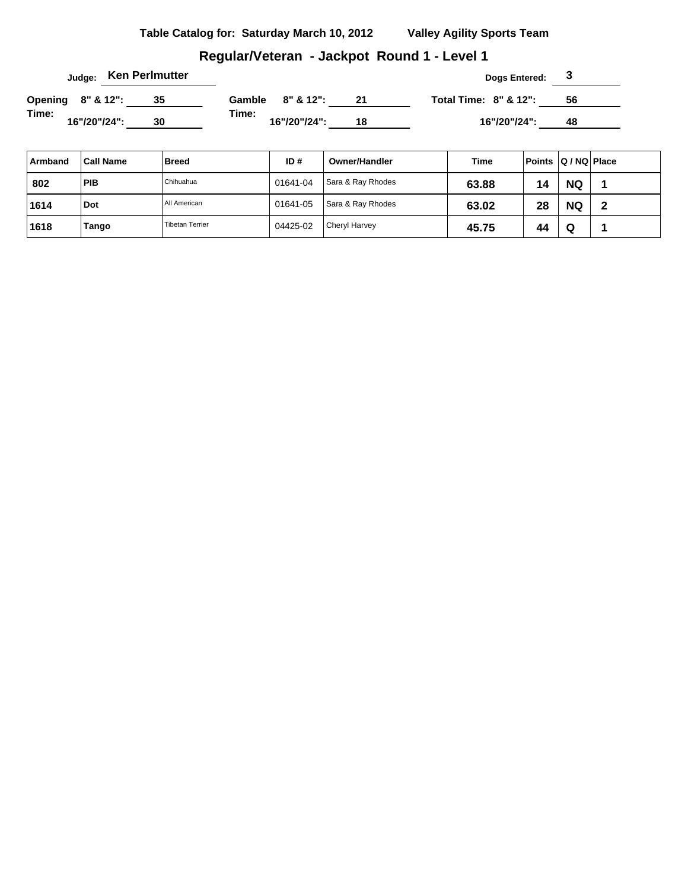# **Regular/Veteran - Jackpot Round 1 - Level 1**

| Judge: Ken Perlmutter |              |  |  |    |       |                  |    | Dogs Entered:                    |    |  |
|-----------------------|--------------|--|--|----|-------|------------------|----|----------------------------------|----|--|
| Opening 8" & 12":     |              |  |  | 35 |       | Gamble 8" & 12": | 21 | <b>Total Time: 8" &amp; 12":</b> | 56 |  |
| Time:                 | 16"/20"/24": |  |  | 30 | Time: | 16"/20"/24":     | 18 | 16"/20"/24":                     | 48 |  |

| Armband | <b>Call Name</b> | <b>Breed</b>           | ID#      | Owner/Handler        | Time  | Points Q / NQ Place |           |   |
|---------|------------------|------------------------|----------|----------------------|-------|---------------------|-----------|---|
| 802     | <b>PIB</b>       | Chihuahua              | 01641-04 | Sara & Ray Rhodes    | 63.88 | 14                  | <b>NQ</b> |   |
| 1614    | Dot              | All American           | 01641-05 | Sara & Ray Rhodes    | 63.02 | 28                  | <b>NQ</b> | - |
| 1618    | Tango            | <b>Tibetan Terrier</b> | 04425-02 | <b>Cheryl Harvey</b> | 45.75 | 44                  | Q         |   |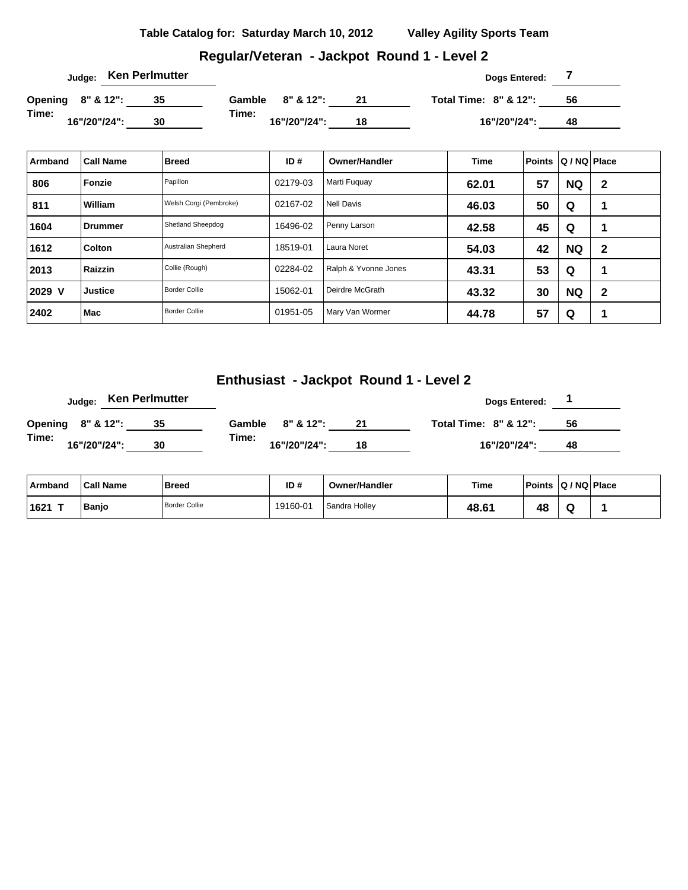### **Regular/Veteran - Jackpot Round 1 - Level 2**

|                   |              | Judge: Ken Perlmutter |        |              |    | Dogs Entered:                    |    |  |
|-------------------|--------------|-----------------------|--------|--------------|----|----------------------------------|----|--|
| Opening 8" & 12": |              | 35                    | Gamble | 8" & 12":    | 21 | <b>Total Time: 8" &amp; 12":</b> | 56 |  |
| Time:             | 16"/20"/24": | 30                    | Time:  | 16"/20"/24": | 18 | 16"/20"/24":                     | 48 |  |

| Armband | <b>Call Name</b> | <b>Breed</b>           | ID#      | <b>Owner/Handler</b> | <b>Time</b> | <b>Points</b> | Q / NQ   Place |              |
|---------|------------------|------------------------|----------|----------------------|-------------|---------------|----------------|--------------|
| 806     | Fonzie           | Papillon               | 02179-03 | Marti Fuguay         | 62.01       | 57            | <b>NQ</b>      | $\mathbf{2}$ |
| 811     | William          | Welsh Corgi (Pembroke) | 02167-02 | Nell Davis           | 46.03       | 50            | Q              | 1            |
| 1604    | Drummer          | Shetland Sheepdog      | 16496-02 | Penny Larson         | 42.58       | 45            | Q              | и            |
| 1612    | <b>Colton</b>    | Australian Shepherd    | 18519-01 | Laura Noret          | 54.03       | 42            | <b>NQ</b>      | $\mathbf{2}$ |
| 2013    | Raizzin          | Collie (Rough)         | 02284-02 | Ralph & Yvonne Jones | 43.31       | 53            | Q              | ٠            |
| 2029 V  | <b>Justice</b>   | <b>Border Collie</b>   | 15062-01 | Deirdre McGrath      | 43.32       | 30            | <b>NQ</b>      | $\mathbf{2}$ |
| 2402    | Mac              | <b>Border Collie</b>   | 01951-05 | Mary Van Wormer      | 44.78       | 57            | Q              | ٠            |

# **Enthusiast - Jackpot Round 1 - Level 2**

|                   |              | Judge: Ken Perlmutter |       |                  |    | Dogs Entered:                    |    |  |
|-------------------|--------------|-----------------------|-------|------------------|----|----------------------------------|----|--|
| Opening 8" & 12": |              | 35                    |       | Gamble 8" & 12": |    | <b>Total Time: 8" &amp; 12":</b> | 56 |  |
| Time:             | 16"/20"/24": | 30                    | Time: | 16"/20"/24":     | 18 | 16"/20"/24":                     | 48 |  |

| ⊦Armband | <b>Call Name</b> | <b>Breed</b>         | ID#      | <b>Owner/Handler</b> | <b>Time</b> | <b>Points</b> | $ Q/NQ $ Place |  |
|----------|------------------|----------------------|----------|----------------------|-------------|---------------|----------------|--|
| ⊺1621    | <b>Banjo</b>     | <b>Border Collie</b> | 19160-01 | Sandra Holley        | 48.61       | 48            |                |  |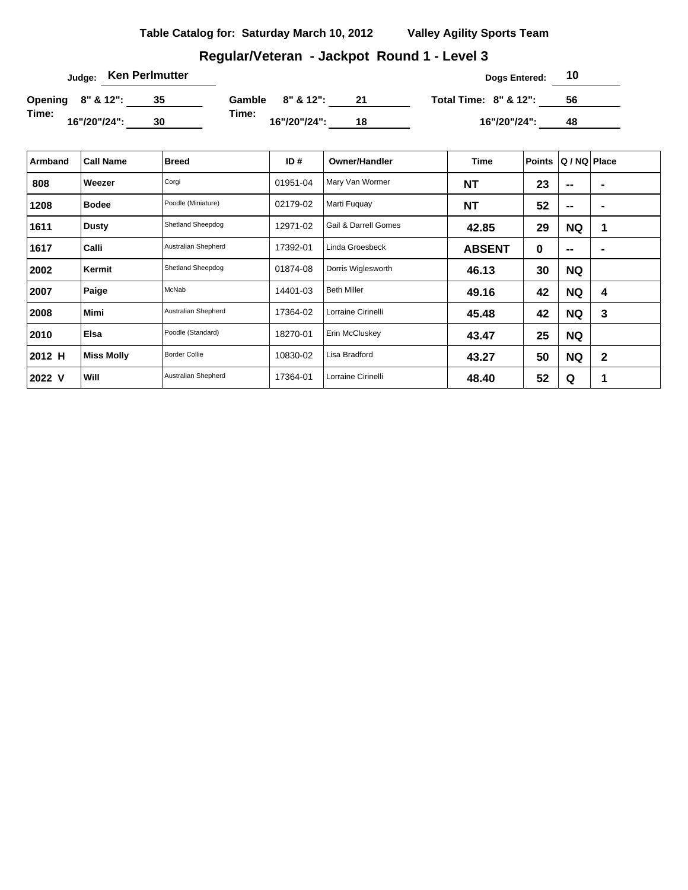# **Regular/Veteran - Jackpot Round 1 - Level 3**

|                   |              | Judge: Ken Perlmutter |        |              |    | Dogs Entered:         | 10 |  |
|-------------------|--------------|-----------------------|--------|--------------|----|-----------------------|----|--|
| Opening 8" & 12": |              | 35                    | Gamble | 8" & 12":    | 21 | Total Time: 8" & 12": | 56 |  |
| Time:             | 16"/20"/24": | 30                    | Time:  | 16"/20"/24": | 18 | 16"/20"/24":          | 48 |  |

| Armband | <b>Call Name</b>  | <b>Breed</b>         | ID $#$   | <b>Owner/Handler</b> | Time          | <b>Points</b> | Q / NQ Place             |                |
|---------|-------------------|----------------------|----------|----------------------|---------------|---------------|--------------------------|----------------|
| 808     | Weezer            | Corgi                | 01951-04 | Mary Van Wormer      | <b>NT</b>     | 23            | --                       | $\blacksquare$ |
| 1208    | <b>Bodee</b>      | Poodle (Miniature)   | 02179-02 | Marti Fuquay         | <b>NT</b>     | 52            | $\mathbf{m}$             | $\blacksquare$ |
| 1611    | <b>Dusty</b>      | Shetland Sheepdog    | 12971-02 | Gail & Darrell Gomes | 42.85         | 29            | <b>NQ</b>                | 1              |
| 1617    | Calli             | Australian Shepherd  | 17392-01 | Linda Groesbeck      | <b>ABSENT</b> | 0             | $\overline{\phantom{a}}$ | $\blacksquare$ |
| 2002    | Kermit            | Shetland Sheepdog    | 01874-08 | Dorris Wiglesworth   | 46.13         | 30            | <b>NQ</b>                |                |
| 2007    | Paige             | McNab                | 14401-03 | <b>Beth Miller</b>   | 49.16         | 42            | <b>NQ</b>                | 4              |
| 2008    | <b>Mimi</b>       | Australian Shepherd  | 17364-02 | Lorraine Cirinelli   | 45.48         | 42            | <b>NQ</b>                | 3              |
| 2010    | Elsa              | Poodle (Standard)    | 18270-01 | Erin McCluskey       | 43.47         | 25            | <b>NQ</b>                |                |
| 2012 H  | <b>Miss Molly</b> | <b>Border Collie</b> | 10830-02 | Lisa Bradford        | 43.27         | 50            | <b>NQ</b>                | $\mathbf{2}$   |
| 2022 V  | Will              | Australian Shepherd  | 17364-01 | Lorraine Cirinelli   | 48.40         | 52            | Q                        | 1              |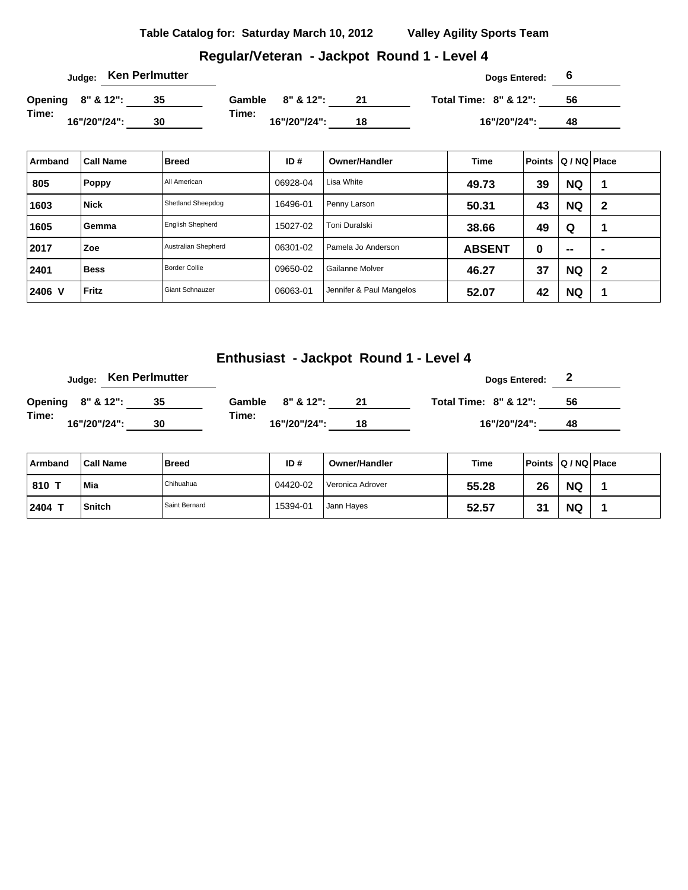### **Regular/Veteran - Jackpot Round 1 - Level 4**

|                   |  |              | Judge: Ken Perlmutter |        |              |    | Dogs Entered:                    |    |  |
|-------------------|--|--------------|-----------------------|--------|--------------|----|----------------------------------|----|--|
| Opening 8" & 12": |  |              |                       | Gamble | 8" & 12":    | 21 | <b>Total Time: 8" &amp; 12":</b> | 56 |  |
| Time:             |  | 16"/20"/24": | 30                    | Time:  | 16"/20"/24": | 18 | 16"/20"/24":                     | 48 |  |

| Armband | <b>Call Name</b> | <b>Breed</b>            | ID#      | <b>Owner/Handler</b>     | <b>Time</b>   | <b>Points</b> | Q / NQ Place |                |
|---------|------------------|-------------------------|----------|--------------------------|---------------|---------------|--------------|----------------|
| 805     | <b>Poppy</b>     | All American            | 06928-04 | Lisa White               | 49.73         | 39            | <b>NQ</b>    |                |
| 1603    | <b>Nick</b>      | Shetland Sheepdog       | 16496-01 | Penny Larson             | 50.31         | 43            | <b>NQ</b>    | $\mathbf{2}$   |
| 1605    | Gemma            | <b>English Shepherd</b> | 15027-02 | Toni Duralski            | 38.66         | 49            | Q            |                |
| 2017    | Zoe              | Australian Shepherd     | 06301-02 | Pamela Jo Anderson       | <b>ABSENT</b> | 0             | $\sim$       | $\blacksquare$ |
| 2401    | <b>Bess</b>      | <b>Border Collie</b>    | 09650-02 | Gailanne Molver          | 46.27         | 37            | <b>NQ</b>    | $\mathbf{2}$   |
| 2406 V  | <b>Fritz</b>     | <b>Giant Schnauzer</b>  | 06063-01 | Jennifer & Paul Mangelos | 52.07         | 42            | <b>NQ</b>    | -1             |

# **Enthusiast - Jackpot Round 1 - Level 4**

|       |                   | <sub>Judge:</sub> Ken Perlmutter |       |                  |    | Dogs Entered:                    | ◢  |
|-------|-------------------|----------------------------------|-------|------------------|----|----------------------------------|----|
|       | Opening 8" & 12": | 35                               |       | Gamble 8" & 12": | 21 | <b>Total Time: 8" &amp; 12":</b> | 56 |
| Time: | 16"/20"/24":      | 30                               | Time: | 16"/20"/24":     | 18 | 16"/20"/24":                     | 48 |

| Armband | <b>Call Name</b> | Breed         | ID#      | <b>Owner/Handler</b> | Time  | Points   Q / NQ   Place |           |  |
|---------|------------------|---------------|----------|----------------------|-------|-------------------------|-----------|--|
| 810 7   | Mia              | Chihuahua     | 04420-02 | l Veronica Adrover   | 55.28 | 26                      | <b>NQ</b> |  |
| 2404    | <b>Snitch</b>    | Saint Bernard | 15394-01 | Jann Hayes           | 52.57 | ີ                       | <b>NQ</b> |  |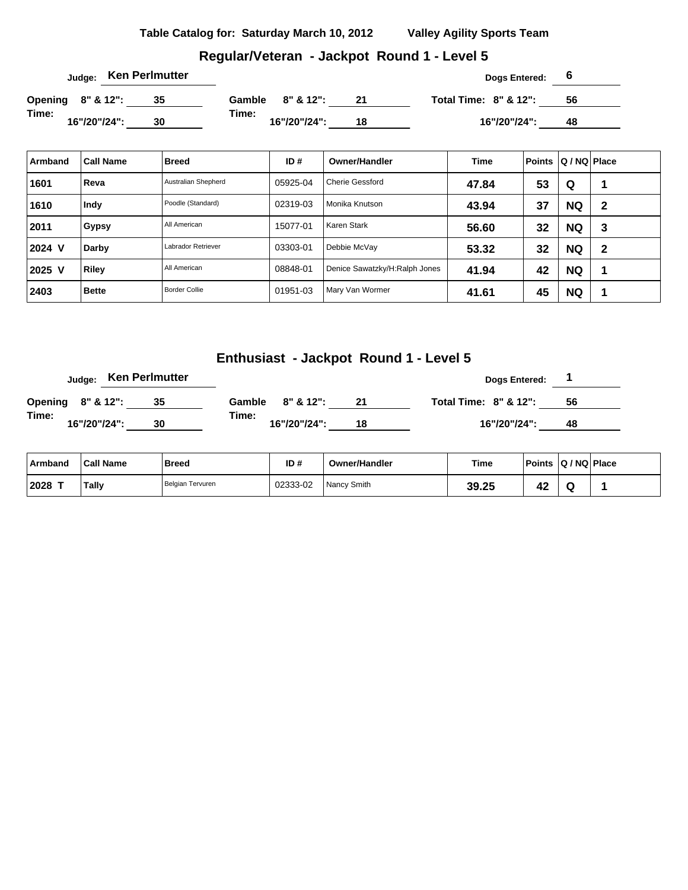### **Regular/Veteran - Jackpot Round 1 - Level 5**

|                   |              | <sub>Judge:</sub> Ken Perlmutter |        |              |    | Dogs Entered:                    |    |  |
|-------------------|--------------|----------------------------------|--------|--------------|----|----------------------------------|----|--|
| Opening 8" & 12": |              |                                  | Gamble | 8" & 12":    |    | <b>Total Time: 8" &amp; 12":</b> | 56 |  |
| Time:             | 16"/20"/24": | 30                               | Time:  | 16"/20"/24": | 18 | 16"/20"/24":                     | 48 |  |

| Armband | <b>Call Name</b> | <b>Breed</b>         | ID#      | <b>Owner/Handler</b>          | <b>Time</b> | <b>Points</b> | Q / NQ   Place |              |
|---------|------------------|----------------------|----------|-------------------------------|-------------|---------------|----------------|--------------|
| 1601    | Reva             | Australian Shepherd  | 05925-04 | <b>Cherie Gessford</b>        | 47.84       | 53            | Q              |              |
| 1610    | Indy             | Poodle (Standard)    | 02319-03 | Monika Knutson                | 43.94       | 37            | <b>NQ</b>      | $\mathbf{2}$ |
| 2011    | Gypsy            | All American         | 15077-01 | Karen Stark                   | 56.60       | 32            | <b>NQ</b>      | 3            |
| 2024 V  | Darby            | Labrador Retriever   | 03303-01 | Debbie McVay                  | 53.32       | 32            | <b>NQ</b>      | $\mathbf{2}$ |
| 2025 V  | Riley            | All American         | 08848-01 | Denice Sawatzky/H:Ralph Jones | 41.94       | 42            | <b>NQ</b>      |              |
| 2403    | <b>Bette</b>     | <b>Border Collie</b> | 01951-03 | Mary Van Wormer               | 41.61       | 45            | <b>NQ</b>      |              |

# **Enthusiast - Jackpot Round 1 - Level 5**

|                   |              |  | Judge: Ken Perlmutter |                  |              |    |                                  | <b>Dogs Entered:</b> |    |  |
|-------------------|--------------|--|-----------------------|------------------|--------------|----|----------------------------------|----------------------|----|--|
| Opening 8" & 12": |              |  |                       | Gamble 8" & 12": |              | 21 | <b>Total Time: 8" &amp; 12":</b> |                      | 56 |  |
| Time:             | 16"/20"/24": |  | 30                    | Time:            | 16"/20"/24": | 18 |                                  | 16"/20"/24":         | 48 |  |

| Armband   | <b>Call Name</b> | <b>Breed</b>     | ID#      | <b>Owner/Handler</b> | Time  | <b>Points</b> | Q / NQ Place |
|-----------|------------------|------------------|----------|----------------------|-------|---------------|--------------|
| $ 2028$ T | Tally            | Belgian Tervuren | 02333-02 | Nancy Smith          | 39.25 |               |              |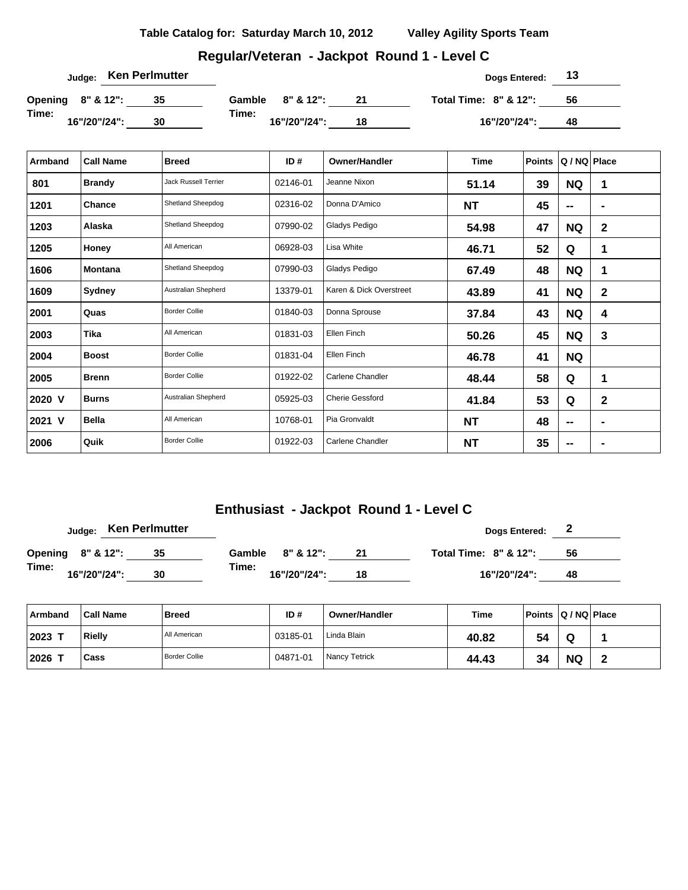| Table Catalog for: Saturday March 10, 2012 | <b>Valley Agility Sports Team</b> |
|--------------------------------------------|-----------------------------------|
|                                            |                                   |

# **Regular/Veteran - Jackpot Round 1 - Level C**

| Judge: Ken Perlmutter |    |                       |    | Dogs Entered:                    | 13 |
|-----------------------|----|-----------------------|----|----------------------------------|----|
| Opening 8" & 12":     | 35 | $8"$ & 12":<br>Gamble | 21 | <b>Total Time: 8" &amp; 12":</b> | 56 |
| Time:<br>16"/20"/24": | 30 | Time:<br>16"/20"/24": | 18 | 16"/20"/24":                     | 48 |

| Armband | <b>Call Name</b> | <b>Breed</b>                | ID#      | <b>Owner/Handler</b>    | Time      | <b>Points</b> | Q / NQ Place   |                |
|---------|------------------|-----------------------------|----------|-------------------------|-----------|---------------|----------------|----------------|
| 801     | <b>Brandy</b>    | <b>Jack Russell Terrier</b> | 02146-01 | Jeanne Nixon            | 51.14     | 39            | <b>NQ</b>      | 1              |
| 1201    | Chance           | Shetland Sheepdog           | 02316-02 | Donna D'Amico           | <b>NT</b> | 45            | $\blacksquare$ | $\blacksquare$ |
| 1203    | Alaska           | Shetland Sheepdog           | 07990-02 | Gladys Pedigo           | 54.98     | 47            | <b>NQ</b>      | $\mathbf{2}$   |
| 1205    | Honey            | All American                | 06928-03 | Lisa White              | 46.71     | 52            | Q              | 1              |
| 1606    | <b>Montana</b>   | Shetland Sheepdog           | 07990-03 | Gladys Pedigo           | 67.49     | 48            | <b>NQ</b>      | 1              |
| 1609    | Sydney           | Australian Shepherd         | 13379-01 | Karen & Dick Overstreet | 43.89     | 41            | <b>NQ</b>      | $\mathbf{2}$   |
| 2001    | Quas             | <b>Border Collie</b>        | 01840-03 | Donna Sprouse           | 37.84     | 43            | <b>NQ</b>      | 4              |
| 2003    | Tika             | All American                | 01831-03 | Ellen Finch             | 50.26     | 45            | <b>NQ</b>      | 3              |
| 2004    | <b>Boost</b>     | <b>Border Collie</b>        | 01831-04 | Ellen Finch             | 46.78     | 41            | <b>NQ</b>      |                |
| 2005    | <b>Brenn</b>     | <b>Border Collie</b>        | 01922-02 | Carlene Chandler        | 48.44     | 58            | Q              | 1              |
| 2020 V  | <b>Burns</b>     | Australian Shepherd         | 05925-03 | <b>Cherie Gessford</b>  | 41.84     | 53            | Q              | $\mathbf{2}$   |
| 2021 V  | <b>Bella</b>     | All American                | 10768-01 | Pia Gronvaldt           | <b>NT</b> | 48            | $\mathbf{m}$   | -              |
| 2006    | Quik             | <b>Border Collie</b>        | 01922-03 | Carlene Chandler        | <b>NT</b> | 35            | --             |                |

# **Enthusiast - Jackpot Round 1 - Level C**

|                   |  |              |  | <sub>Judge:</sub> Ken Perlmutter |        |               |    |  |  | Dogs Entered:                    | $\mathbf{z}$ |    |  |
|-------------------|--|--------------|--|----------------------------------|--------|---------------|----|--|--|----------------------------------|--------------|----|--|
| Opening 8" & 12": |  |              |  |                                  | Gamble | $8" 8' 12"$ : |    |  |  | <b>Total Time: 8" &amp; 12":</b> |              | 56 |  |
| Time:             |  | 16"/20"/24": |  | 30                               | Time:  | 16"/20"/24":  | 18 |  |  | 16"/20"/24":                     |              | 48 |  |

| ∣ Armband | <b>Call Name</b> | <b>Breed</b>         | ID#      | <b>Owner/Handler</b> | Time  | Points Q / NQ Place |           |  |
|-----------|------------------|----------------------|----------|----------------------|-------|---------------------|-----------|--|
| 2023      | Rielly           | All American         | 03185-01 | Linda Blain          | 40.82 | 54                  | Q         |  |
| 2026      | Cass             | <b>Border Collie</b> | 04871-01 | Nancy Tetrick        | 44.43 | 34                  | <b>NQ</b> |  |